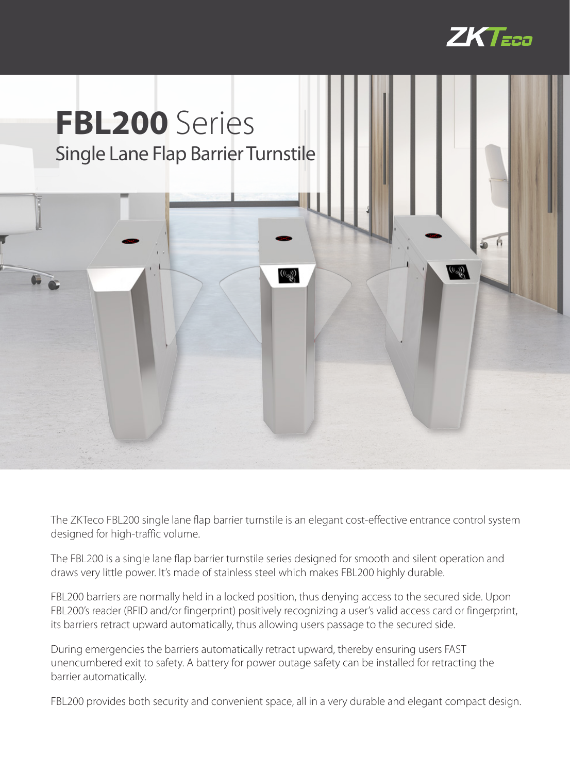



The ZKTeco FBL200 single lane flap barrier turnstile is an elegant cost-effective entrance control system designed for high-traffic volume.

The FBL200 is a single lane flap barrier turnstile series designed for smooth and silent operation and draws very little power. It's made of stainless steel which makes FBL200 highly durable.

FBL200 barriers are normally held in a locked position, thus denying access to the secured side. Upon FBL200's reader (RFID and/or fingerprint) positively recognizing a user's valid access card or fingerprint, its barriers retract upward automatically, thus allowing users passage to the secured side.

During emergencies the barriers automatically retract upward, thereby ensuring users FAST unencumbered exit to safety. A battery for power outage safety can be installed for retracting the barrier automatically.

FBL200 provides both security and convenient space, all in a very durable and elegant compact design.